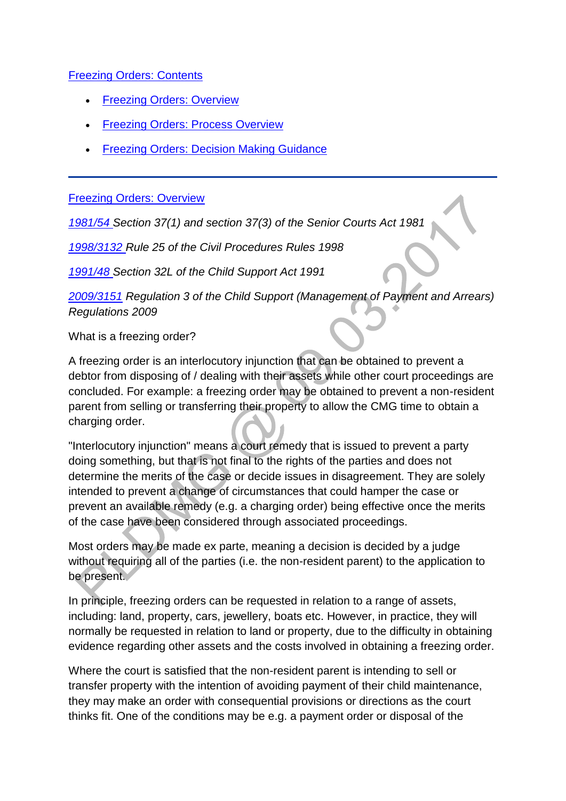### [Freezing Orders: Contents](http://np-cmg-sharepoint.link2.gpn.gov.uk/sites/policy-law-and-decision-making-guidance/Pages/Legal%20Enforcement%20-%20England%20and%20Wales/Freezing-Orders.aspx)

- [Freezing Orders: Overview](http://np-cmg-sharepoint.link2.gpn.gov.uk/sites/policy-law-and-decision-making-guidance/Pages/Legal%20Enforcement%20-%20England%20and%20Wales/Freezing-Orders.aspx#fooverview)
- [Freezing Orders: Process Overview](http://np-cmg-sharepoint.link2.gpn.gov.uk/sites/policy-law-and-decision-making-guidance/Pages/Legal%20Enforcement%20-%20England%20and%20Wales/Freezing-Orders.aspx#foproverview)
- [Freezing Orders: Decision Making Guidance](http://np-cmg-sharepoint.link2.gpn.gov.uk/sites/policy-law-and-decision-making-guidance/Pages/Legal%20Enforcement%20-%20England%20and%20Wales/Freezing-Orders.aspx#fodmg)

#### [Freezing Orders: Overview](http://np-cmg-sharepoint.link2.gpn.gov.uk/sites/policy-law-and-decision-making-guidance/Pages/Legal%20Enforcement%20-%20England%20and%20Wales/Freezing-Orders.aspx)

*[1981/54 S](http://www.legislation.gov.uk/ukpga/1981/54/contents)ection 37(1) and section 37(3) of the Senior Courts Act 1981*

*[1998/3132 R](http://www.legislation.gov.uk/uksi/1998/3132/contents/made)ule 25 of the Civil Procedures Rules 1998*

*[1991/48 S](http://www.legislation.gov.uk/ukpga/1991/48)ection 32L of the Child Support Act 1991*

*[2009/3151](http://www.legislation.gov.uk/uksi/2009/3151/contents) Regulation 3 of the Child Support (Management of Payment and Arrears) Regulations 2009*

What is a freezing order?

A freezing order is an interlocutory injunction that can be obtained to prevent a debtor from disposing of / dealing with their assets while other court proceedings are concluded. For example: a freezing order may be obtained to prevent a non-resident parent from selling or transferring their property to allow the CMG time to obtain a charging order.

"Interlocutory injunction" means a court remedy that is issued to prevent a party doing something, but that is not final to the rights of the parties and does not determine the merits of the case or decide issues in disagreement. They are solely intended to prevent a change of circumstances that could hamper the case or prevent an available remedy (e.g. a charging order) being effective once the merits of the case have been considered through associated proceedings.

Most orders may be made ex parte, meaning a decision is decided by a judge without requiring all of the parties (i.e. the non-resident parent) to the application to be present.

In principle, freezing orders can be requested in relation to a range of assets, including: land, property, cars, jewellery, boats etc. However, in practice, they will normally be requested in relation to land or property, due to the difficulty in obtaining evidence regarding other assets and the costs involved in obtaining a freezing order.

Where the court is satisfied that the non-resident parent is intending to sell or transfer property with the intention of avoiding payment of their child maintenance, they may make an order with consequential provisions or directions as the court thinks fit. One of the conditions may be e.g. a payment order or disposal of the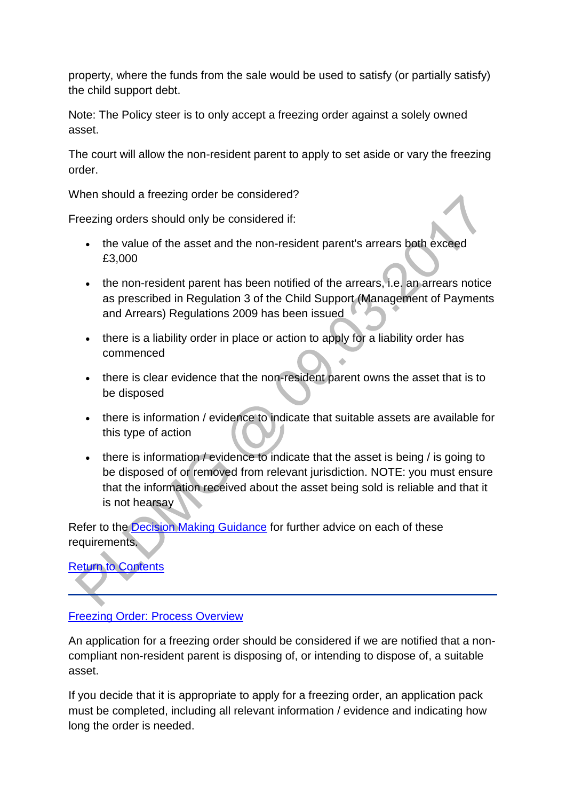property, where the funds from the sale would be used to satisfy (or partially satisfy) the child support debt.

Note: The Policy steer is to only accept a freezing order against a solely owned asset.

The court will allow the non-resident parent to apply to set aside or vary the freezing order.

When should a freezing order be considered?

Freezing orders should only be considered if:

- the value of the asset and the non-resident parent's arrears both exceed £3,000
- the non-resident parent has been notified of the arrears, i.e. an arrears notice as prescribed in Regulation 3 of the Child Support (Management of Payments and Arrears) Regulations 2009 has been issued
- there is a liability order in place or action to apply for a liability order has commenced
- there is clear evidence that the non-resident parent owns the asset that is to be disposed
- there is information / evidence to indicate that suitable assets are available for this type of action
- there is information / evidence to indicate that the asset is being / is going to be disposed of or removed from relevant jurisdiction. NOTE: you must ensure that the information received about the asset being sold is reliable and that it is not hearsay

Refer to the [Decision Making Guidance](http://np-cmg-sharepoint.link2.gpn.gov.uk/sites/policy-law-and-decision-making-guidance/Pages/Legal%20Enforcement%20-%20England%20and%20Wales/Freezing-Orders.aspx#fodmg) for further advice on each of these requirements.

**[Return to Contents](http://np-cmg-sharepoint.link2.gpn.gov.uk/sites/policy-law-and-decision-making-guidance/Pages/Legal%20Enforcement%20-%20England%20and%20Wales/Freezing-Orders.aspx#focontents)** 

# **[Freezing Order: Process Overview](http://np-cmg-sharepoint.link2.gpn.gov.uk/sites/policy-law-and-decision-making-guidance/Pages/Legal%20Enforcement%20-%20England%20and%20Wales/Freezing-Orders.aspx)**

An application for a freezing order should be considered if we are notified that a noncompliant non-resident parent is disposing of, or intending to dispose of, a suitable asset.

If you decide that it is appropriate to apply for a freezing order, an application pack must be completed, including all relevant information / evidence and indicating how long the order is needed.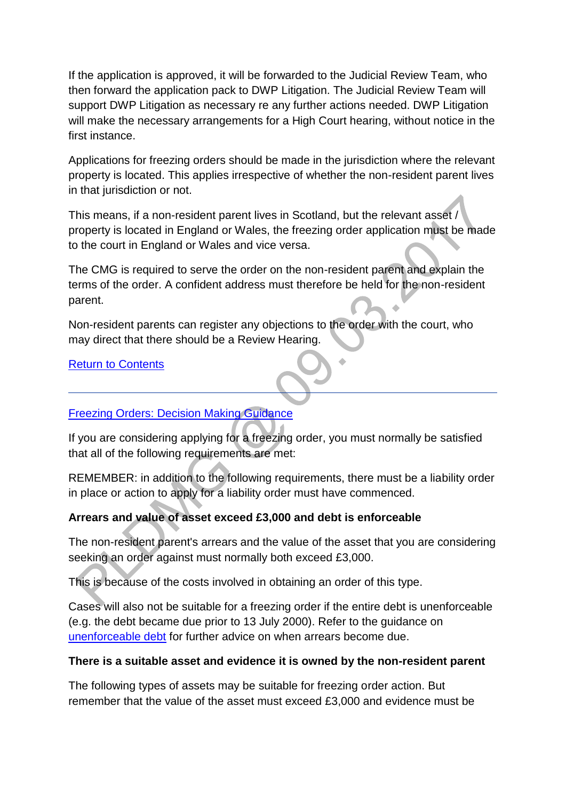If the application is approved, it will be forwarded to the Judicial Review Team, who then forward the application pack to DWP Litigation. The Judicial Review Team will support DWP Litigation as necessary re any further actions needed. DWP Litigation will make the necessary arrangements for a High Court hearing, without notice in the first instance.

Applications for freezing orders should be made in the jurisdiction where the relevant property is located. This applies irrespective of whether the non-resident parent lives in that jurisdiction or not.

This means, if a non-resident parent lives in Scotland, but the relevant asset / property is located in England or Wales, the freezing order application must be made to the court in England or Wales and vice versa.

The CMG is required to serve the order on the non-resident parent and explain the terms of the order. A confident address must therefore be held for the non-resident parent.  $\ddot{\phantom{a}}$ 

Non-resident parents can register any objections to the order with the court, who may direct that there should be a Review Hearing.

[Return to Contents](http://np-cmg-sharepoint.link2.gpn.gov.uk/sites/policy-law-and-decision-making-guidance/Pages/Legal%20Enforcement%20-%20England%20and%20Wales/Freezing-Orders.aspx#focontents)

### [Freezing Orders: Decision Making Guidance](http://np-cmg-sharepoint.link2.gpn.gov.uk/sites/policy-law-and-decision-making-guidance/Pages/Legal%20Enforcement%20-%20England%20and%20Wales/Freezing-Orders.aspx)

If you are considering applying for a freezing order, you must normally be satisfied that all of the following requirements are met:

REMEMBER: in addition to the following requirements, there must be a liability order in place or action to apply for a liability order must have commenced.

# **Arrears and value of asset exceed £3,000 and debt is enforceable**

The non-resident parent's arrears and the value of the asset that you are considering seeking an order against must normally both exceed £3,000.

This is because of the costs involved in obtaining an order of this type.

Cases will also not be suitable for a freezing order if the entire debt is unenforceable (e.g. the debt became due prior to 13 July 2000). Refer to the guidance on [unenforceable debt](http://np-cmg-sharepoint.link2.gpn.gov.uk/sites/policy-law-and-decision-making-guidance/Pages/Legal%20Enforcement%20-%20England%20and%20Wales/Liability-Orders.aspx) for further advice on when arrears become due.

### **There is a suitable asset and evidence it is owned by the non-resident parent**

The following types of assets may be suitable for freezing order action. But remember that the value of the asset must exceed £3,000 and evidence must be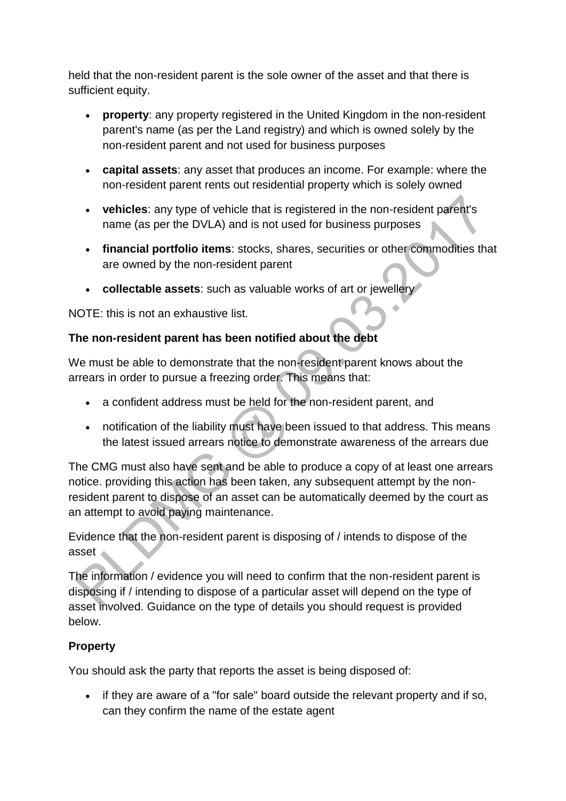held that the non-resident parent is the sole owner of the asset and that there is sufficient equity.

- **property**: any property registered in the United Kingdom in the non-resident parent's name (as per the Land registry) and which is owned solely by the non-resident parent and not used for business purposes
- **capital assets**: any asset that produces an income. For example: where the non-resident parent rents out residential property which is solely owned
- **vehicles**: any type of vehicle that is registered in the non-resident parent's name (as per the DVLA) and is not used for business purposes
- **financial portfolio items**: stocks, shares, securities or other commodities that are owned by the non-resident parent
- **collectable assets**: such as valuable works of art or jewellery

NOTE: this is not an exhaustive list.

# **The non-resident parent has been notified about the debt**

We must be able to demonstrate that the non-resident parent knows about the arrears in order to pursue a freezing order. This means that:

- a confident address must be held for the non-resident parent, and
- notification of the liability must have been issued to that address. This means the latest issued arrears notice to demonstrate awareness of the arrears due

The CMG must also have sent and be able to produce a copy of at least one arrears notice. providing this action has been taken, any subsequent attempt by the nonresident parent to dispose of an asset can be automatically deemed by the court as an attempt to avoid paying maintenance.

Evidence that the non-resident parent is disposing of / intends to dispose of the asset

The information / evidence you will need to confirm that the non-resident parent is disposing if / intending to dispose of a particular asset will depend on the type of asset involved. Guidance on the type of details you should request is provided below.

# **Property**

You should ask the party that reports the asset is being disposed of:

• if they are aware of a "for sale" board outside the relevant property and if so, can they confirm the name of the estate agent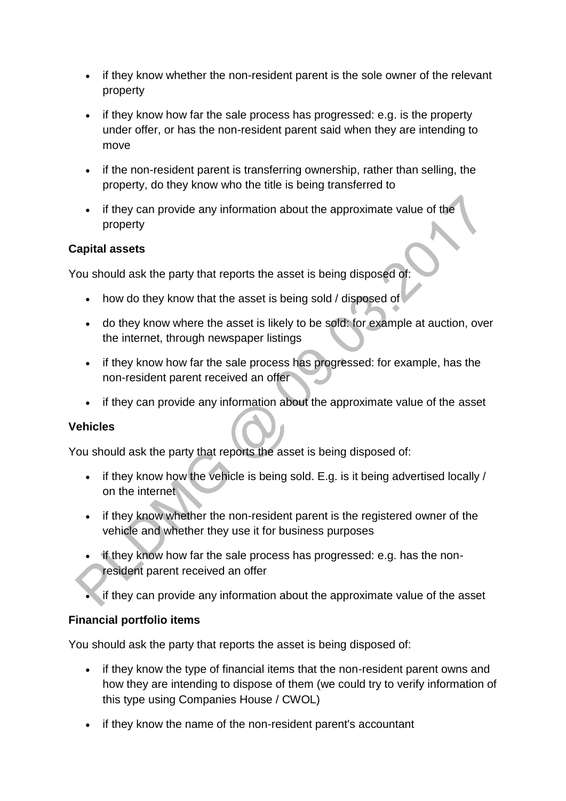- if they know whether the non-resident parent is the sole owner of the relevant property
- if they know how far the sale process has progressed: e.g. is the property under offer, or has the non-resident parent said when they are intending to move
- if the non-resident parent is transferring ownership, rather than selling, the property, do they know who the title is being transferred to
- if they can provide any information about the approximate value of the property

### **Capital assets**

You should ask the party that reports the asset is being disposed of:

- how do they know that the asset is being sold / disposed of
- do they know where the asset is likely to be sold: for example at auction, over the internet, through newspaper listings
- if they know how far the sale process has progressed: for example, has the non-resident parent received an offer
- if they can provide any information about the approximate value of the asset

### **Vehicles**

You should ask the party that reports the asset is being disposed of:

- $\bullet$  if they know how the vehicle is being sold. E.g. is it being advertised locally / on the internet
- if they know whether the non-resident parent is the registered owner of the vehicle and whether they use it for business purposes
- if they know how far the sale process has progressed: e.g. has the nonresident parent received an offer
- If they can provide any information about the approximate value of the asset

### **Financial portfolio items**

You should ask the party that reports the asset is being disposed of:

- if they know the type of financial items that the non-resident parent owns and how they are intending to dispose of them (we could try to verify information of this type using Companies House / CWOL)
- if they know the name of the non-resident parent's accountant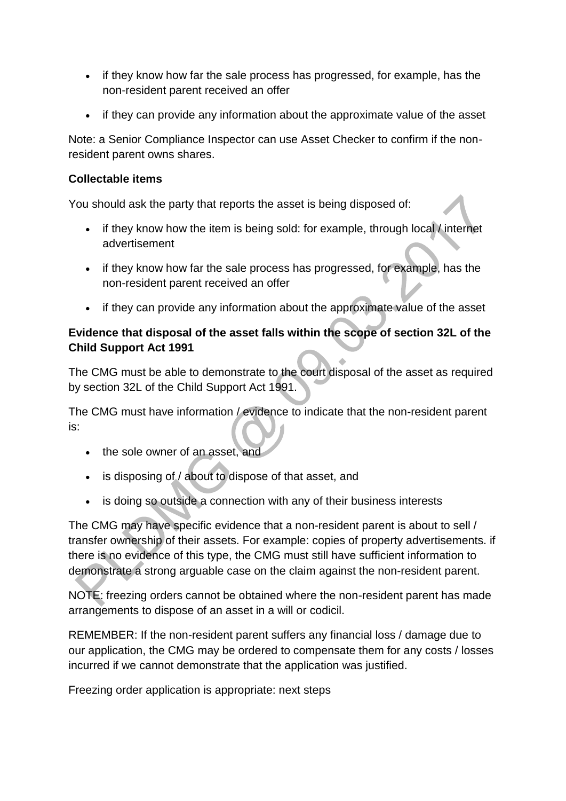- if they know how far the sale process has progressed, for example, has the non-resident parent received an offer
- if they can provide any information about the approximate value of the asset

Note: a Senior Compliance Inspector can use Asset Checker to confirm if the nonresident parent owns shares.

### **Collectable items**

You should ask the party that reports the asset is being disposed of:

- if they know how the item is being sold: for example, through local / internet advertisement
- if they know how far the sale process has progressed, for example, has the non-resident parent received an offer
- if they can provide any information about the approximate value of the asset

# **Evidence that disposal of the asset falls within the scope of section 32L of the Child Support Act 1991**

The CMG must be able to demonstrate to the court disposal of the asset as required by section 32L of the Child Support Act 1991.

The CMG must have information / evidence to indicate that the non-resident parent is:

- the sole owner of an asset, and
- is disposing of / about to dispose of that asset, and
- is doing so outside a connection with any of their business interests

The CMG may have specific evidence that a non-resident parent is about to sell / transfer ownership of their assets. For example: copies of property advertisements. if there is no evidence of this type, the CMG must still have sufficient information to demonstrate a strong arguable case on the claim against the non-resident parent.

NOTE: freezing orders cannot be obtained where the non-resident parent has made arrangements to dispose of an asset in a will or codicil.

REMEMBER: If the non-resident parent suffers any financial loss / damage due to our application, the CMG may be ordered to compensate them for any costs / losses incurred if we cannot demonstrate that the application was justified.

Freezing order application is appropriate: next steps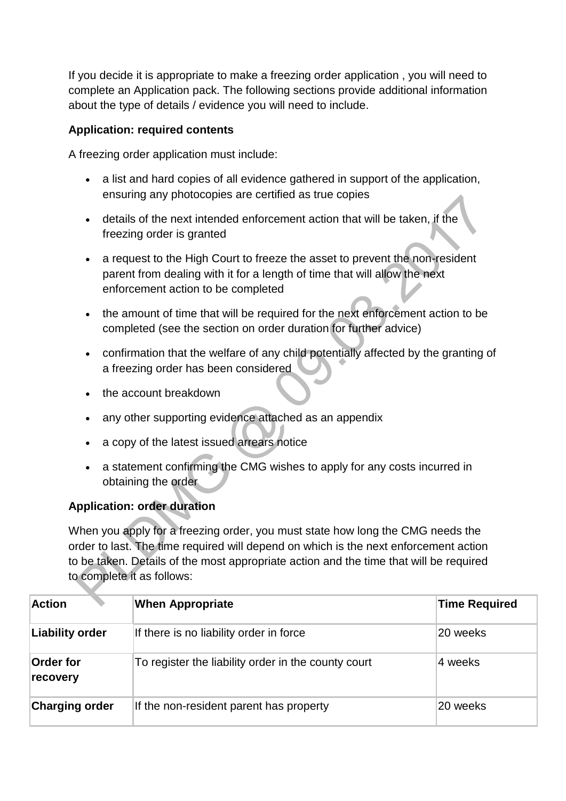If you decide it is appropriate to make a freezing order application , you will need to complete an Application pack. The following sections provide additional information about the type of details / evidence you will need to include.

### **Application: required contents**

A freezing order application must include:

- a list and hard copies of all evidence gathered in support of the application, ensuring any photocopies are certified as true copies
- details of the next intended enforcement action that will be taken, if the freezing order is granted
- a request to the High Court to freeze the asset to prevent the non-resident parent from dealing with it for a length of time that will allow the next enforcement action to be completed
- the amount of time that will be required for the next enforcement action to be completed (see the section on order duration for further advice)
- confirmation that the welfare of any child potentially affected by the granting of a freezing order has been considered
- the account breakdown
- any other supporting evidence attached as an appendix
- a copy of the latest issued arrears notice
- a statement confirming the CMG wishes to apply for any costs incurred in obtaining the order

# **Application: order duration**

When you apply for a freezing order, you must state how long the CMG needs the order to last. The time required will depend on which is the next enforcement action to be taken. Details of the most appropriate action and the time that will be required to complete it as follows:

| <b>Action</b>                | <b>When Appropriate</b>                             | <b>Time Required</b> |
|------------------------------|-----------------------------------------------------|----------------------|
| Liability order              | If there is no liability order in force             | 20 weeks             |
| <b>Order for</b><br>recovery | To register the liability order in the county court | 4 weeks              |
| <b>Charging order</b>        | If the non-resident parent has property             | 20 weeks             |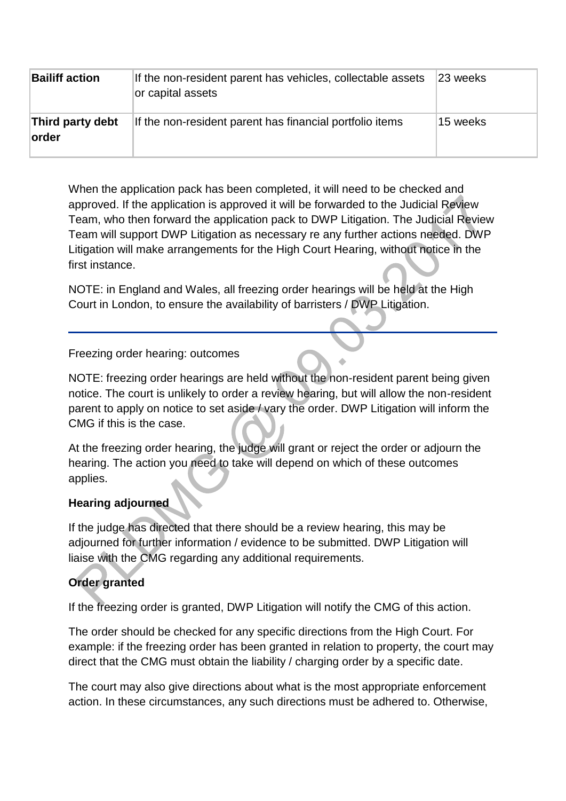| <b>Bailiff action</b>     | If the non-resident parent has vehicles, collectable assets<br>or capital assets | 23 weeks |
|---------------------------|----------------------------------------------------------------------------------|----------|
| Third party debt<br>order | If the non-resident parent has financial portfolio items                         | 15 weeks |

When the application pack has been completed, it will need to be checked and approved. If the application is approved it will be forwarded to the Judicial Review Team, who then forward the application pack to DWP Litigation. The Judicial Review Team will support DWP Litigation as necessary re any further actions needed. DWP Litigation will make arrangements for the High Court Hearing, without notice in the first instance.

NOTE: in England and Wales, all freezing order hearings will be held at the High Court in London, to ensure the availability of barristers / DWP Litigation.

Freezing order hearing: outcomes

NOTE: freezing order hearings are held without the non-resident parent being given notice. The court is unlikely to order a review hearing, but will allow the non-resident parent to apply on notice to set aside / vary the order. DWP Litigation will inform the CMG if this is the case.

At the freezing order hearing, the judge will grant or reject the order or adjourn the hearing. The action you need to take will depend on which of these outcomes applies.

### **Hearing adjourned**

If the judge has directed that there should be a review hearing, this may be adjourned for further information / evidence to be submitted. DWP Litigation will liaise with the CMG regarding any additional requirements.

# **Order granted**

If the freezing order is granted, DWP Litigation will notify the CMG of this action.

The order should be checked for any specific directions from the High Court. For example: if the freezing order has been granted in relation to property, the court may direct that the CMG must obtain the liability / charging order by a specific date.

The court may also give directions about what is the most appropriate enforcement action. In these circumstances, any such directions must be adhered to. Otherwise,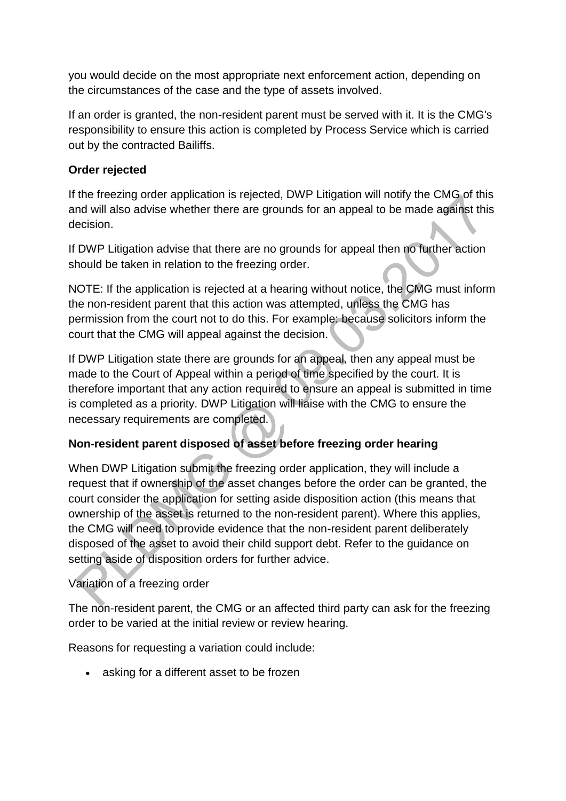you would decide on the most appropriate next enforcement action, depending on the circumstances of the case and the type of assets involved.

If an order is granted, the non-resident parent must be served with it. It is the CMG's responsibility to ensure this action is completed by Process Service which is carried out by the contracted Bailiffs.

### **Order rejected**

If the freezing order application is rejected, DWP Litigation will notify the CMG of this and will also advise whether there are grounds for an appeal to be made against this decision.

If DWP Litigation advise that there are no grounds for appeal then no further action should be taken in relation to the freezing order.

NOTE: If the application is rejected at a hearing without notice, the CMG must inform the non-resident parent that this action was attempted, unless the CMG has permission from the court not to do this. For example: because solicitors inform the court that the CMG will appeal against the decision.

If DWP Litigation state there are grounds for an appeal, then any appeal must be made to the Court of Appeal within a period of time specified by the court. It is therefore important that any action required to ensure an appeal is submitted in time is completed as a priority. DWP Litigation will liaise with the CMG to ensure the necessary requirements are completed.

# **Non-resident parent disposed of asset before freezing order hearing**

When DWP Litigation submit the freezing order application, they will include a request that if ownership of the asset changes before the order can be granted, the court consider the application for setting aside disposition action (this means that ownership of the asset is returned to the non-resident parent). Where this applies, the CMG will need to provide evidence that the non-resident parent deliberately disposed of the asset to avoid their child support debt. Refer to the guidance on setting aside of disposition orders for further advice.

# Variation of a freezing order

The non-resident parent, the CMG or an affected third party can ask for the freezing order to be varied at the initial review or review hearing.

Reasons for requesting a variation could include:

• asking for a different asset to be frozen